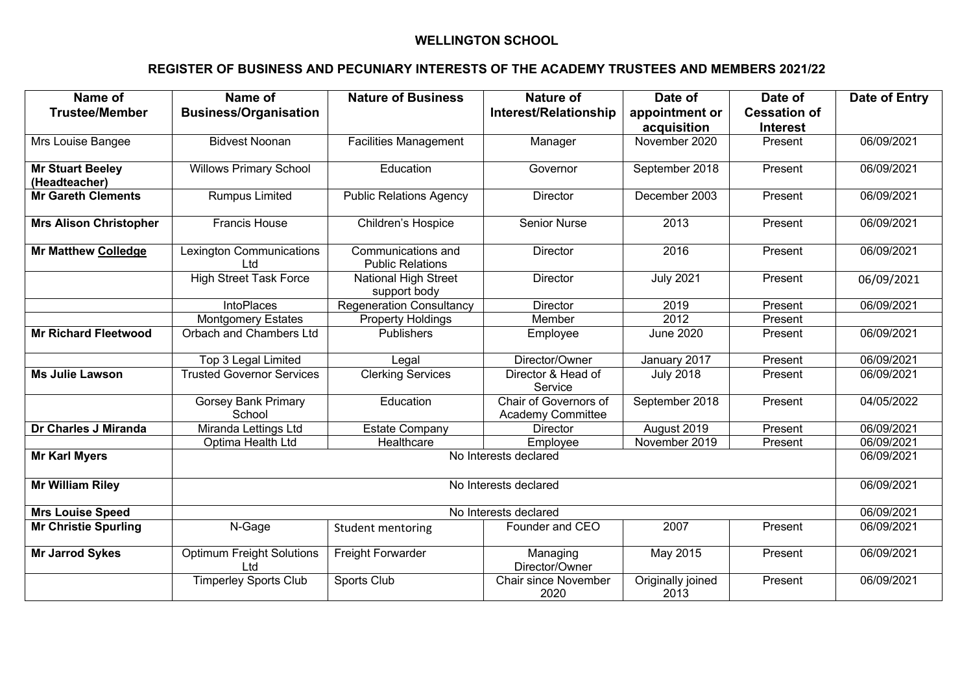## **WELLINGTON SCHOOL**

## **REGISTER OF BUSINESS AND PECUNIARY INTERESTS OF THE ACADEMY TRUSTEES AND MEMBERS 2021/22**

| Name of                                  | Name of                                 | <b>Nature of Business</b>                     | Nature of                                  | Date of                   | Date of             | <b>Date of Entry</b> |  |
|------------------------------------------|-----------------------------------------|-----------------------------------------------|--------------------------------------------|---------------------------|---------------------|----------------------|--|
| <b>Trustee/Member</b>                    | <b>Business/Organisation</b>            |                                               | <b>Interest/Relationship</b>               | appointment or            | <b>Cessation of</b> |                      |  |
|                                          |                                         |                                               |                                            | acquisition               | <b>Interest</b>     |                      |  |
| Mrs Louise Bangee                        | <b>Bidvest Noonan</b>                   | <b>Facilities Management</b>                  | Manager                                    | November 2020             | Present             | 06/09/2021           |  |
| <b>Mr Stuart Beeley</b><br>(Headteacher) | <b>Willows Primary School</b>           | Education                                     | Governor                                   | September 2018            | Present             | 06/09/2021           |  |
| <b>Mr Gareth Clements</b>                | <b>Rumpus Limited</b>                   | <b>Public Relations Agency</b>                | <b>Director</b>                            | December 2003             | Present             | 06/09/2021           |  |
| <b>Mrs Alison Christopher</b>            | <b>Francis House</b>                    | Children's Hospice                            | <b>Senior Nurse</b>                        | 2013                      | Present             | 06/09/2021           |  |
| <b>Mr Matthew Colledge</b>               | <b>Lexington Communications</b><br>Ltd  | Communications and<br><b>Public Relations</b> | <b>Director</b>                            | 2016                      | Present             | 06/09/2021           |  |
|                                          | <b>High Street Task Force</b>           | National High Street<br>support body          | <b>Director</b>                            | <b>July 2021</b>          | Present             | 06/09/2021           |  |
|                                          | <b>IntoPlaces</b>                       | <b>Regeneration Consultancy</b>               | <b>Director</b>                            | 2019                      | Present             | 06/09/2021           |  |
|                                          | <b>Montgomery Estates</b>               | <b>Property Holdings</b>                      | Member                                     | 2012                      | Present             |                      |  |
| <b>Mr Richard Fleetwood</b>              | Orbach and Chambers Ltd                 | Publishers                                    | Employee                                   | <b>June 2020</b>          | Present             | 06/09/2021           |  |
|                                          | <b>Top 3 Legal Limited</b>              | Legal                                         | Director/Owner                             | January 2017              | Present             | 06/09/2021           |  |
| Ms Julie Lawson                          | <b>Trusted Governor Services</b>        | <b>Clerking Services</b>                      | Director & Head of<br>Service              | <b>July 2018</b>          | Present             | 06/09/2021           |  |
|                                          | <b>Gorsey Bank Primary</b><br>School    | Education                                     | Chair of Governors of<br>Academy Committee | September 2018            | Present             | 04/05/2022           |  |
| Dr Charles J Miranda                     | Miranda Lettings Ltd                    | <b>Estate Company</b>                         | <b>Director</b>                            | August 2019               | Present             | 06/09/2021           |  |
|                                          | Optima Health Ltd                       | Healthcare                                    | Employee                                   | November 2019             | Present             | 06/09/2021           |  |
| <b>Mr Karl Myers</b>                     | No Interests declared                   |                                               |                                            |                           |                     |                      |  |
| <b>Mr William Riley</b>                  | No Interests declared                   |                                               |                                            |                           |                     |                      |  |
| <b>Mrs Louise Speed</b>                  | No Interests declared                   |                                               |                                            |                           |                     |                      |  |
| <b>Mr Christie Spurling</b>              | N-Gage                                  | Student mentoring                             | Founder and CEO                            | 2007                      | Present             | 06/09/2021           |  |
| <b>Mr Jarrod Sykes</b>                   | <b>Optimum Freight Solutions</b><br>Ltd | Freight Forwarder                             | Managing<br>Director/Owner                 | May 2015                  | Present             | 06/09/2021           |  |
|                                          | <b>Timperley Sports Club</b>            | Sports Club                                   | <b>Chair since November</b><br>2020        | Originally joined<br>2013 | Present             | 06/09/2021           |  |